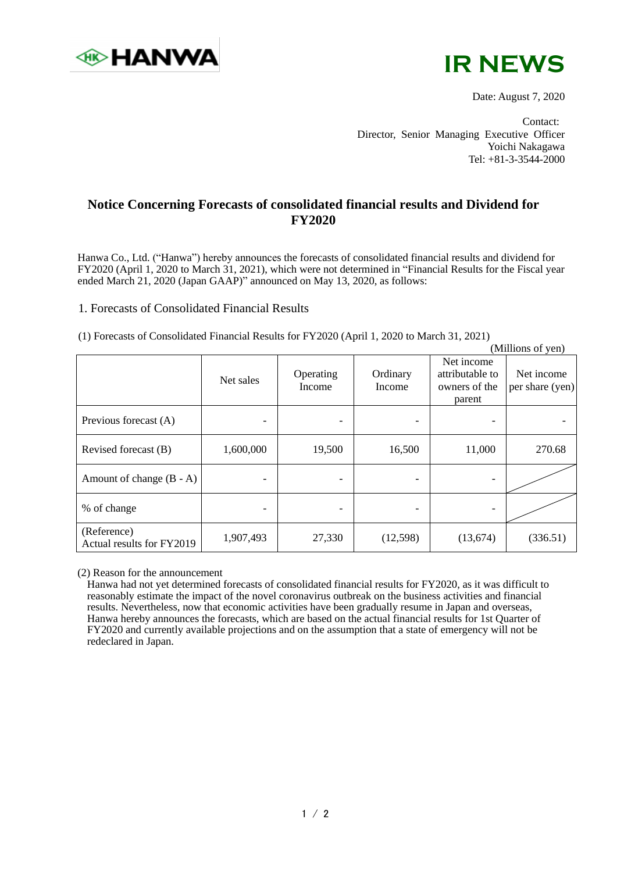



Date: August 7, 2020

Contact: Director, Senior Managing Executive Officer Yoichi Nakagawa Tel: +81-3-3544-2000

## **Notice Concerning Forecasts of consolidated financial results and Dividend for FY2020**

Hanwa Co., Ltd. ("Hanwa") hereby announces the forecasts of consolidated financial results and dividend for FY2020 (April 1, 2020 to March 31, 2021), which were not determined in "Financial Results for the Fiscal year ended March 21, 2020 (Japan GAAP)" announced on May 13, 2020, as follows:

## 1. Forecasts of Consolidated Financial Results

(1) Forecasts of Consolidated Financial Results for FY2020 (April 1, 2020 to March 31, 2021)

|                                          |           |                          |                    |                                                          | (Millions of yen)             |
|------------------------------------------|-----------|--------------------------|--------------------|----------------------------------------------------------|-------------------------------|
|                                          | Net sales | Operating<br>Income      | Ordinary<br>Income | Net income<br>attributable to<br>owners of the<br>parent | Net income<br>per share (yen) |
| Previous forecast (A)                    | -         | $\overline{\phantom{a}}$ |                    | -                                                        |                               |
| Revised forecast (B)                     | 1,600,000 | 19,500                   | 16,500             | 11,000                                                   | 270.68                        |
| Amount of change $(B - A)$               |           | -                        |                    |                                                          |                               |
| % of change                              |           | $\overline{\phantom{a}}$ |                    |                                                          |                               |
| (Reference)<br>Actual results for FY2019 | 1,907,493 | 27,330                   | (12,598)           | (13,674)                                                 | (336.51)                      |

(2) Reason for the announcement

Hanwa had not yet determined forecasts of consolidated financial results for FY2020, as it was difficult to reasonably estimate the impact of the novel coronavirus outbreak on the business activities and financial results. Nevertheless, now that economic activities have been gradually resume in Japan and overseas, Hanwa hereby announces the forecasts, which are based on the actual financial results for 1st Quarter of FY2020 and currently available projections and on the assumption that a state of emergency will not be redeclared in Japan.